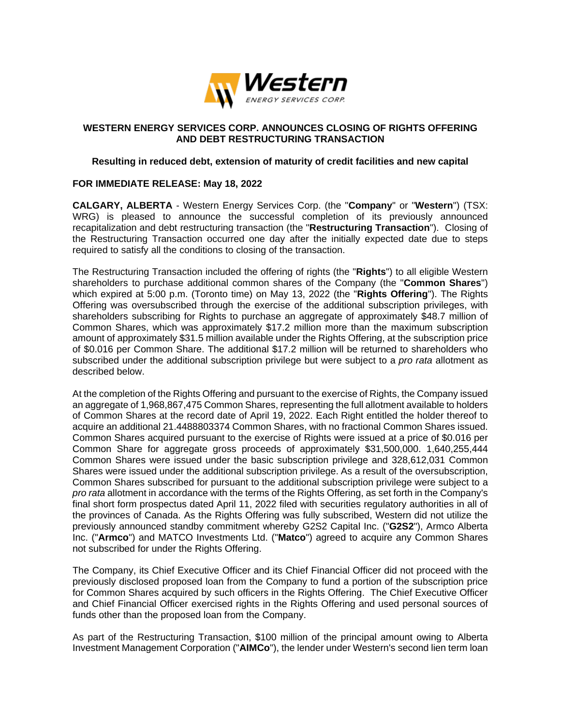

# **WESTERN ENERGY SERVICES CORP. ANNOUNCES CLOSING OF RIGHTS OFFERING AND DEBT RESTRUCTURING TRANSACTION**

# **Resulting in reduced debt, extension of maturity of credit facilities and new capital**

# **FOR IMMEDIATE RELEASE: May 18, 2022**

**CALGARY, ALBERTA** - Western Energy Services Corp. (the "**Company**" or "**Western**") (TSX: WRG) is pleased to announce the successful completion of its previously announced recapitalization and debt restructuring transaction (the "**Restructuring Transaction**"). Closing of the Restructuring Transaction occurred one day after the initially expected date due to steps required to satisfy all the conditions to closing of the transaction.

The Restructuring Transaction included the offering of rights (the "**Rights**") to all eligible Western shareholders to purchase additional common shares of the Company (the "**Common Shares**") which expired at 5:00 p.m. (Toronto time) on May 13, 2022 (the "**Rights Offering**"). The Rights Offering was oversubscribed through the exercise of the additional subscription privileges, with shareholders subscribing for Rights to purchase an aggregate of approximately \$48.7 million of Common Shares, which was approximately \$17.2 million more than the maximum subscription amount of approximately \$31.5 million available under the Rights Offering, at the subscription price of \$0.016 per Common Share. The additional \$17.2 million will be returned to shareholders who subscribed under the additional subscription privilege but were subject to a *pro rata* allotment as described below.

At the completion of the Rights Offering and pursuant to the exercise of Rights, the Company issued an aggregate of 1,968,867,475 Common Shares, representing the full allotment available to holders of Common Shares at the record date of April 19, 2022. Each Right entitled the holder thereof to acquire an additional 21.4488803374 Common Shares, with no fractional Common Shares issued. Common Shares acquired pursuant to the exercise of Rights were issued at a price of \$0.016 per Common Share for aggregate gross proceeds of approximately \$31,500,000. 1,640,255,444 Common Shares were issued under the basic subscription privilege and 328,612,031 Common Shares were issued under the additional subscription privilege. As a result of the oversubscription, Common Shares subscribed for pursuant to the additional subscription privilege were subject to a *pro rata* allotment in accordance with the terms of the Rights Offering, as set forth in the Company's final short form prospectus dated April 11, 2022 filed with securities regulatory authorities in all of the provinces of Canada. As the Rights Offering was fully subscribed, Western did not utilize the previously announced standby commitment whereby G2S2 Capital Inc. ("**G2S2**"), Armco Alberta Inc. ("**Armco**") and MATCO Investments Ltd. ("**Matco**") agreed to acquire any Common Shares not subscribed for under the Rights Offering.

The Company, its Chief Executive Officer and its Chief Financial Officer did not proceed with the previously disclosed proposed loan from the Company to fund a portion of the subscription price for Common Shares acquired by such officers in the Rights Offering. The Chief Executive Officer and Chief Financial Officer exercised rights in the Rights Offering and used personal sources of funds other than the proposed loan from the Company.

As part of the Restructuring Transaction, \$100 million of the principal amount owing to Alberta Investment Management Corporation ("**AIMCo**"), the lender under Western's second lien term loan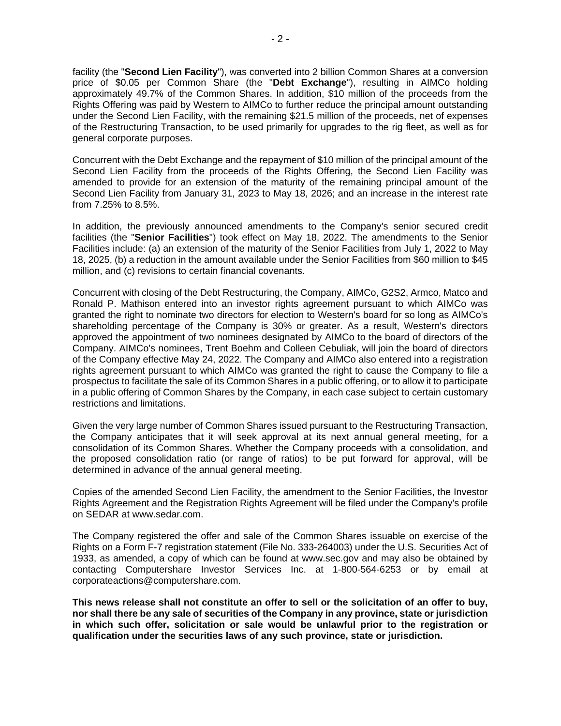facility (the "**Second Lien Facility**"), was converted into 2 billion Common Shares at a conversion price of \$0.05 per Common Share (the "**Debt Exchange**"), resulting in AIMCo holding approximately 49.7% of the Common Shares. In addition, \$10 million of the proceeds from the Rights Offering was paid by Western to AIMCo to further reduce the principal amount outstanding under the Second Lien Facility, with the remaining \$21.5 million of the proceeds, net of expenses of the Restructuring Transaction, to be used primarily for upgrades to the rig fleet, as well as for general corporate purposes.

Concurrent with the Debt Exchange and the repayment of \$10 million of the principal amount of the Second Lien Facility from the proceeds of the Rights Offering, the Second Lien Facility was amended to provide for an extension of the maturity of the remaining principal amount of the Second Lien Facility from January 31, 2023 to May 18, 2026; and an increase in the interest rate from 7.25% to 8.5%.

In addition, the previously announced amendments to the Company's senior secured credit facilities (the "**Senior Facilities**") took effect on May 18, 2022. The amendments to the Senior Facilities include: (a) an extension of the maturity of the Senior Facilities from July 1, 2022 to May 18, 2025, (b) a reduction in the amount available under the Senior Facilities from \$60 million to \$45 million, and (c) revisions to certain financial covenants.

Concurrent with closing of the Debt Restructuring, the Company, AIMCo, G2S2, Armco, Matco and Ronald P. Mathison entered into an investor rights agreement pursuant to which AIMCo was granted the right to nominate two directors for election to Western's board for so long as AIMCo's shareholding percentage of the Company is 30% or greater. As a result, Western's directors approved the appointment of two nominees designated by AIMCo to the board of directors of the Company. AIMCo's nominees, Trent Boehm and Colleen Cebuliak, will join the board of directors of the Company effective May 24, 2022. The Company and AIMCo also entered into a registration rights agreement pursuant to which AIMCo was granted the right to cause the Company to file a prospectus to facilitate the sale of its Common Shares in a public offering, or to allow it to participate in a public offering of Common Shares by the Company, in each case subject to certain customary restrictions and limitations.

Given the very large number of Common Shares issued pursuant to the Restructuring Transaction, the Company anticipates that it will seek approval at its next annual general meeting, for a consolidation of its Common Shares. Whether the Company proceeds with a consolidation, and the proposed consolidation ratio (or range of ratios) to be put forward for approval, will be determined in advance of the annual general meeting.

Copies of the amended Second Lien Facility, the amendment to the Senior Facilities, the Investor Rights Agreement and the Registration Rights Agreement will be filed under the Company's profile on SEDAR at www.sedar.com.

The Company registered the offer and sale of the Common Shares issuable on exercise of the Rights on a Form F-7 registration statement (File No. 333-264003) under the U.S. Securities Act of 1933, as amended, a copy of which can be found at www.sec.gov and may also be obtained by contacting Computershare Investor Services Inc. at 1-800-564-6253 or by email at corporateactions@computershare.com.

**This news release shall not constitute an offer to sell or the solicitation of an offer to buy, nor shall there be any sale of securities of the Company in any province, state or jurisdiction in which such offer, solicitation or sale would be unlawful prior to the registration or qualification under the securities laws of any such province, state or jurisdiction.**